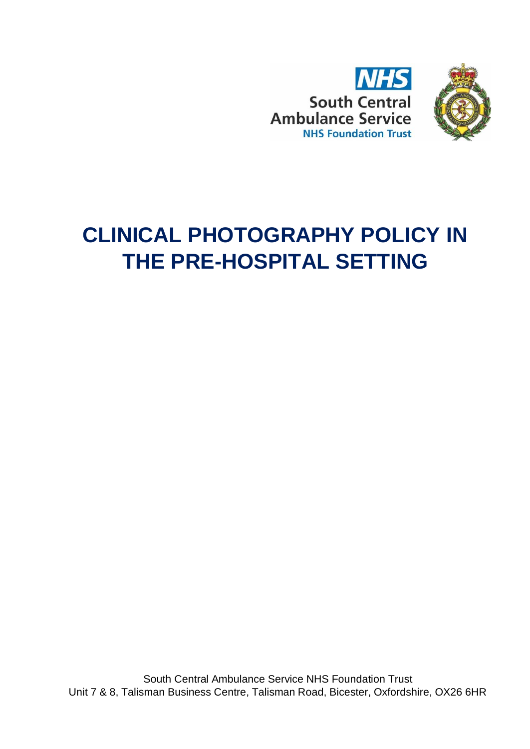



# **CLINICAL PHOTOGRAPHY POLICY IN THE PRE-HOSPITAL SETTING**

South Central Ambulance Service NHS Foundation Trust Unit 7 & 8, Talisman Business Centre, Talisman Road, Bicester, Oxfordshire, OX26 6HR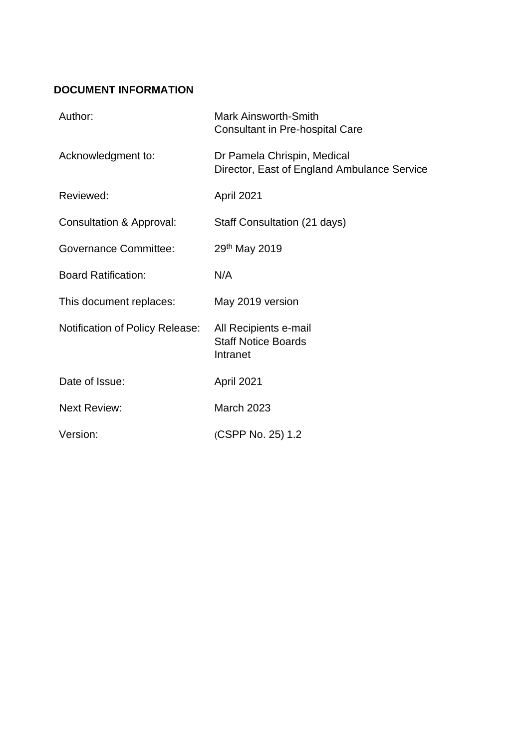# <span id="page-1-0"></span>**DOCUMENT INFORMATION**

| Author:                                | <b>Mark Ainsworth-Smith</b><br><b>Consultant in Pre-hospital Care</b>      |
|----------------------------------------|----------------------------------------------------------------------------|
| Acknowledgment to:                     | Dr Pamela Chrispin, Medical<br>Director, East of England Ambulance Service |
| Reviewed:                              | April 2021                                                                 |
| Consultation & Approval:               | Staff Consultation (21 days)                                               |
| <b>Governance Committee:</b>           | 29 <sup>th</sup> May 2019                                                  |
| <b>Board Ratification:</b>             | N/A                                                                        |
| This document replaces:                | May 2019 version                                                           |
| <b>Notification of Policy Release:</b> | All Recipients e-mail<br><b>Staff Notice Boards</b><br>Intranet            |
| Date of Issue:                         | April 2021                                                                 |
| <b>Next Review:</b>                    | <b>March 2023</b>                                                          |
| Version:                               | (CSPP No. 25) 1.2                                                          |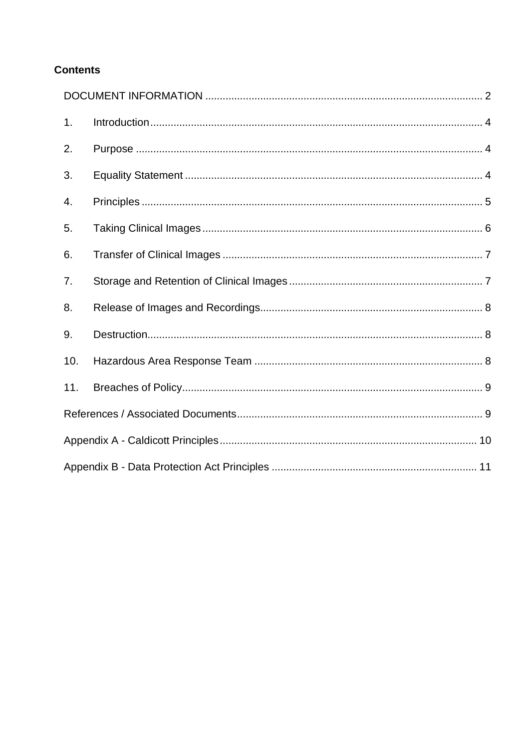# **Contents**

| 1.  |  |
|-----|--|
| 2.  |  |
| 3.  |  |
| 4.  |  |
| 5.  |  |
| 6.  |  |
| 7.  |  |
| 8.  |  |
| 9.  |  |
| 10. |  |
| 11. |  |
|     |  |
|     |  |
|     |  |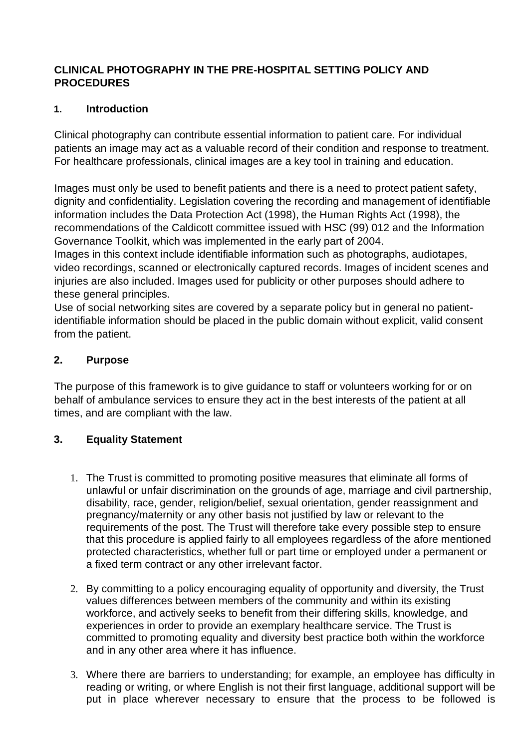#### **CLINICAL PHOTOGRAPHY IN THE PRE-HOSPITAL SETTING POLICY AND PROCEDURES**

# <span id="page-3-0"></span>**1. Introduction**

Clinical photography can contribute essential information to patient care. For individual patients an image may act as a valuable record of their condition and response to treatment. For healthcare professionals, clinical images are a key tool in training and education.

Images must only be used to benefit patients and there is a need to protect patient safety, dignity and confidentiality. Legislation covering the recording and management of identifiable information includes the Data Protection Act (1998), the Human Rights Act (1998), the recommendations of the Caldicott committee issued with HSC (99) 012 and the Information Governance Toolkit, which was implemented in the early part of 2004.

Images in this context include identifiable information such as photographs, audiotapes, video recordings, scanned or electronically captured records. Images of incident scenes and injuries are also included. Images used for publicity or other purposes should adhere to these general principles.

Use of social networking sites are covered by a separate policy but in general no patientidentifiable information should be placed in the public domain without explicit, valid consent from the patient.

## <span id="page-3-1"></span>**2. Purpose**

The purpose of this framework is to give guidance to staff or volunteers working for or on behalf of ambulance services to ensure they act in the best interests of the patient at all times, and are compliant with the law.

# <span id="page-3-2"></span>**3. Equality Statement**

- 1. The Trust is committed to promoting positive measures that eliminate all forms of unlawful or unfair discrimination on the grounds of age, marriage and civil partnership, disability, race, gender, religion/belief, sexual orientation, gender reassignment and pregnancy/maternity or any other basis not justified by law or relevant to the requirements of the post. The Trust will therefore take every possible step to ensure that this procedure is applied fairly to all employees regardless of the afore mentioned protected characteristics, whether full or part time or employed under a permanent or a fixed term contract or any other irrelevant factor.
- 2. By committing to a policy encouraging equality of opportunity and diversity, the Trust values differences between members of the community and within its existing workforce, and actively seeks to benefit from their differing skills, knowledge, and experiences in order to provide an exemplary healthcare service. The Trust is committed to promoting equality and diversity best practice both within the workforce and in any other area where it has influence.
- 3. Where there are barriers to understanding; for example, an employee has difficulty in reading or writing, or where English is not their first language, additional support will be put in place wherever necessary to ensure that the process to be followed is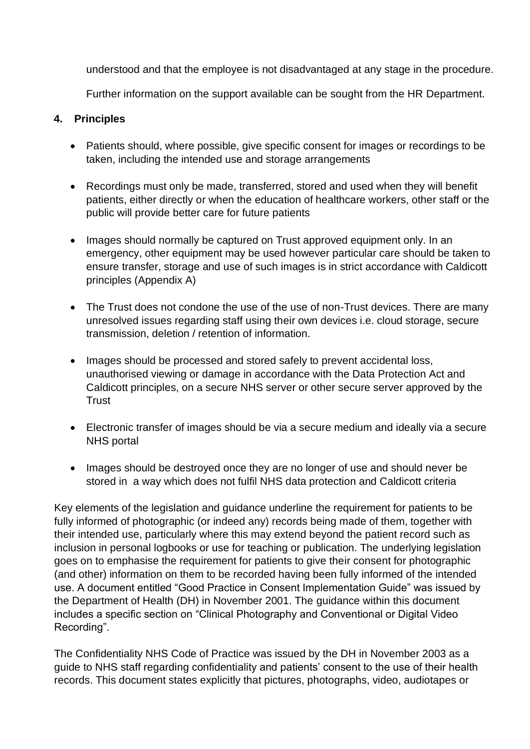understood and that the employee is not disadvantaged at any stage in the procedure.

Further information on the support available can be sought from the HR Department.

#### <span id="page-4-0"></span>**4. Principles**

- Patients should, where possible, give specific consent for images or recordings to be taken, including the intended use and storage arrangements
- Recordings must only be made, transferred, stored and used when they will benefit patients, either directly or when the education of healthcare workers, other staff or the public will provide better care for future patients
- Images should normally be captured on Trust approved equipment only. In an emergency, other equipment may be used however particular care should be taken to ensure transfer, storage and use of such images is in strict accordance with Caldicott principles (Appendix A)
- The Trust does not condone the use of the use of non-Trust devices. There are many unresolved issues regarding staff using their own devices i.e. cloud storage, secure transmission, deletion / retention of information.
- Images should be processed and stored safely to prevent accidental loss, unauthorised viewing or damage in accordance with the Data Protection Act and Caldicott principles, on a secure NHS server or other secure server approved by the **Trust**
- Electronic transfer of images should be via a secure medium and ideally via a secure NHS portal
- Images should be destroyed once they are no longer of use and should never be stored in a way which does not fulfil NHS data protection and Caldicott criteria

Key elements of the legislation and guidance underline the requirement for patients to be fully informed of photographic (or indeed any) records being made of them, together with their intended use, particularly where this may extend beyond the patient record such as inclusion in personal logbooks or use for teaching or publication. The underlying legislation goes on to emphasise the requirement for patients to give their consent for photographic (and other) information on them to be recorded having been fully informed of the intended use. A document entitled "Good Practice in Consent Implementation Guide" was issued by the Department of Health (DH) in November 2001. The guidance within this document includes a specific section on "Clinical Photography and Conventional or Digital Video Recording".

The Confidentiality NHS Code of Practice was issued by the DH in November 2003 as a guide to NHS staff regarding confidentiality and patients' consent to the use of their health records. This document states explicitly that pictures, photographs, video, audiotapes or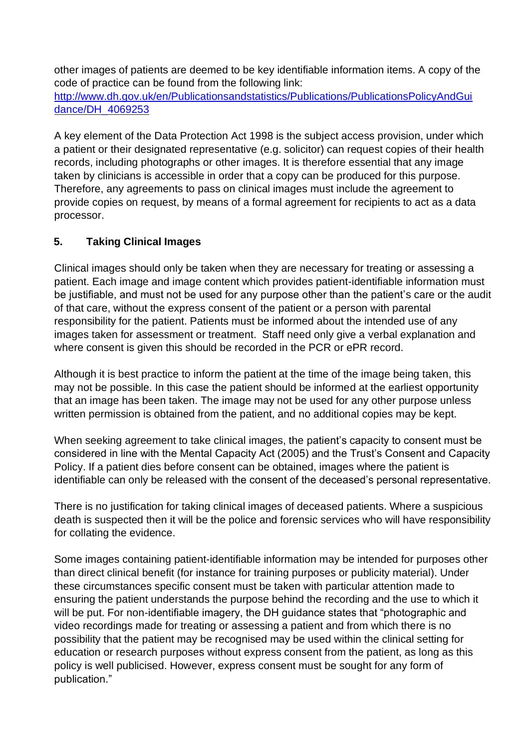other images of patients are deemed to be key identifiable information items. A copy of the code of practice can be found from the following link:

[http://www.dh.gov.uk/en/Publicationsandstatistics/Publications/PublicationsPolicyAndGui](http://www.dh.gov.uk/en/Publicationsandstatistics/Publications/PublicationsPolicyAndGuidance/DH_4069253)  [dance/DH\\_4069253](http://www.dh.gov.uk/en/Publicationsandstatistics/Publications/PublicationsPolicyAndGuidance/DH_4069253)

A key element of the Data Protection Act 1998 is the subject access provision, under which a patient or their designated representative (e.g. solicitor) can request copies of their health records, including photographs or other images. It is therefore essential that any image taken by clinicians is accessible in order that a copy can be produced for this purpose. Therefore, any agreements to pass on clinical images must include the agreement to provide copies on request, by means of a formal agreement for recipients to act as a data processor.

# <span id="page-5-0"></span>**5. Taking Clinical Images**

Clinical images should only be taken when they are necessary for treating or assessing a patient. Each image and image content which provides patient-identifiable information must be justifiable, and must not be used for any purpose other than the patient's care or the audit of that care, without the express consent of the patient or a person with parental responsibility for the patient. Patients must be informed about the intended use of any images taken for assessment or treatment. Staff need only give a verbal explanation and where consent is given this should be recorded in the PCR or ePR record.

Although it is best practice to inform the patient at the time of the image being taken, this may not be possible. In this case the patient should be informed at the earliest opportunity that an image has been taken. The image may not be used for any other purpose unless written permission is obtained from the patient, and no additional copies may be kept.

When seeking agreement to take clinical images, the patient's capacity to consent must be considered in line with the Mental Capacity Act (2005) and the Trust's Consent and Capacity Policy. If a patient dies before consent can be obtained, images where the patient is identifiable can only be released with the consent of the deceased's personal representative.

There is no justification for taking clinical images of deceased patients. Where a suspicious death is suspected then it will be the police and forensic services who will have responsibility for collating the evidence.

Some images containing patient-identifiable information may be intended for purposes other than direct clinical benefit (for instance for training purposes or publicity material). Under these circumstances specific consent must be taken with particular attention made to ensuring the patient understands the purpose behind the recording and the use to which it will be put. For non-identifiable imagery, the DH guidance states that "photographic and video recordings made for treating or assessing a patient and from which there is no possibility that the patient may be recognised may be used within the clinical setting for education or research purposes without express consent from the patient, as long as this policy is well publicised. However, express consent must be sought for any form of publication."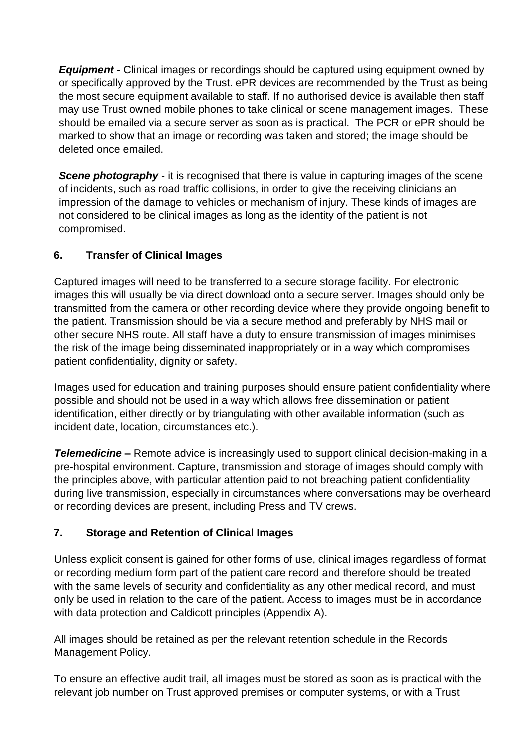*Equipment -* Clinical images or recordings should be captured using equipment owned by or specifically approved by the Trust. ePR devices are recommended by the Trust as being the most secure equipment available to staff. If no authorised device is available then staff may use Trust owned mobile phones to take clinical or scene management images. These should be emailed via a secure server as soon as is practical. The PCR or ePR should be marked to show that an image or recording was taken and stored; the image should be deleted once emailed.

**Scene photography** - it is recognised that there is value in capturing images of the scene of incidents, such as road traffic collisions, in order to give the receiving clinicians an impression of the damage to vehicles or mechanism of injury. These kinds of images are not considered to be clinical images as long as the identity of the patient is not compromised.

# <span id="page-6-0"></span>**6. Transfer of Clinical Images**

Captured images will need to be transferred to a secure storage facility. For electronic images this will usually be via direct download onto a secure server. Images should only be transmitted from the camera or other recording device where they provide ongoing benefit to the patient. Transmission should be via a secure method and preferably by NHS mail or other secure NHS route. All staff have a duty to ensure transmission of images minimises the risk of the image being disseminated inappropriately or in a way which compromises patient confidentiality, dignity or safety.

Images used for education and training purposes should ensure patient confidentiality where possible and should not be used in a way which allows free dissemination or patient identification, either directly or by triangulating with other available information (such as incident date, location, circumstances etc.).

*Telemedicine –* Remote advice is increasingly used to support clinical decision-making in a pre-hospital environment. Capture, transmission and storage of images should comply with the principles above, with particular attention paid to not breaching patient confidentiality during live transmission, especially in circumstances where conversations may be overheard or recording devices are present, including Press and TV crews.

# <span id="page-6-1"></span>**7. Storage and Retention of Clinical Images**

Unless explicit consent is gained for other forms of use, clinical images regardless of format or recording medium form part of the patient care record and therefore should be treated with the same levels of security and confidentiality as any other medical record, and must only be used in relation to the care of the patient. Access to images must be in accordance with data protection and Caldicott principles (Appendix A).

All images should be retained as per the relevant retention schedule in the Records Management Policy.

To ensure an effective audit trail, all images must be stored as soon as is practical with the relevant job number on Trust approved premises or computer systems, or with a Trust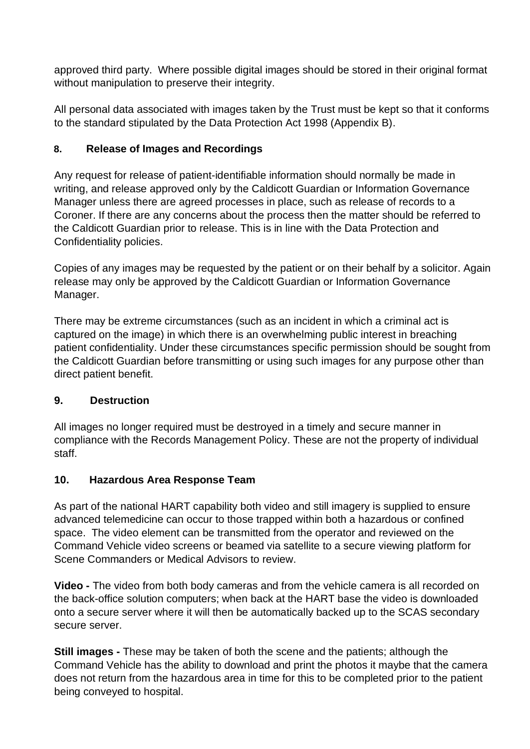approved third party. Where possible digital images should be stored in their original format without manipulation to preserve their integrity.

All personal data associated with images taken by the Trust must be kept so that it conforms to the standard stipulated by the Data Protection Act 1998 (Appendix B).

# <span id="page-7-0"></span>**8. Release of Images and Recordings**

Any request for release of patient-identifiable information should normally be made in writing, and release approved only by the Caldicott Guardian or Information Governance Manager unless there are agreed processes in place, such as release of records to a Coroner. If there are any concerns about the process then the matter should be referred to the Caldicott Guardian prior to release. This is in line with the Data Protection and Confidentiality policies.

Copies of any images may be requested by the patient or on their behalf by a solicitor. Again release may only be approved by the Caldicott Guardian or Information Governance Manager.

There may be extreme circumstances (such as an incident in which a criminal act is captured on the image) in which there is an overwhelming public interest in breaching patient confidentiality. Under these circumstances specific permission should be sought from the Caldicott Guardian before transmitting or using such images for any purpose other than direct patient benefit.

#### <span id="page-7-1"></span>**9. Destruction**

All images no longer required must be destroyed in a timely and secure manner in compliance with the Records Management Policy. These are not the property of individual staff.

#### <span id="page-7-2"></span>**10. Hazardous Area Response Team**

As part of the national HART capability both video and still imagery is supplied to ensure advanced telemedicine can occur to those trapped within both a hazardous or confined space. The video element can be transmitted from the operator and reviewed on the Command Vehicle video screens or beamed via satellite to a secure viewing platform for Scene Commanders or Medical Advisors to review.

**Video -** The video from both body cameras and from the vehicle camera is all recorded on the back-office solution computers; when back at the HART base the video is downloaded onto a secure server where it will then be automatically backed up to the SCAS secondary secure server.

**Still images -** These may be taken of both the scene and the patients; although the Command Vehicle has the ability to download and print the photos it maybe that the camera does not return from the hazardous area in time for this to be completed prior to the patient being conveyed to hospital.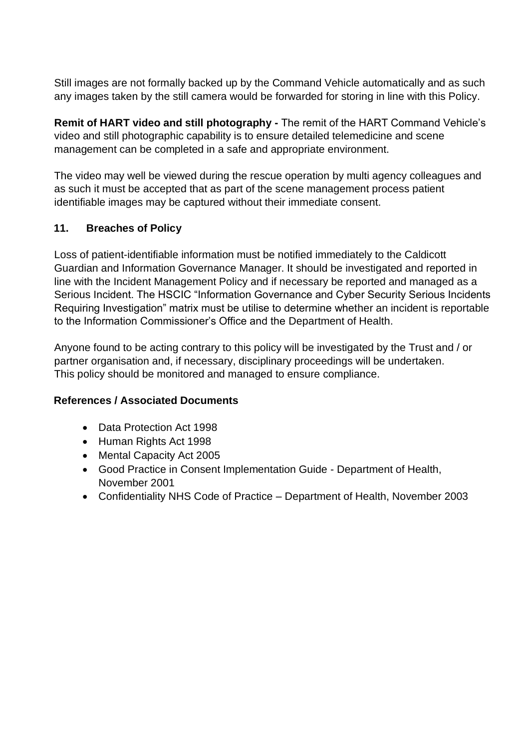Still images are not formally backed up by the Command Vehicle automatically and as such any images taken by the still camera would be forwarded for storing in line with this Policy.

**Remit of HART video and still photography -** The remit of the HART Command Vehicle's video and still photographic capability is to ensure detailed telemedicine and scene management can be completed in a safe and appropriate environment.

The video may well be viewed during the rescue operation by multi agency colleagues and as such it must be accepted that as part of the scene management process patient identifiable images may be captured without their immediate consent.

# <span id="page-8-0"></span>**11. Breaches of Policy**

Loss of patient-identifiable information must be notified immediately to the Caldicott Guardian and Information Governance Manager. It should be investigated and reported in line with the Incident Management Policy and if necessary be reported and managed as a Serious Incident. The HSCIC "Information Governance and Cyber Security Serious Incidents Requiring Investigation" matrix must be utilise to determine whether an incident is reportable to the Information Commissioner's Office and the Department of Health.

Anyone found to be acting contrary to this policy will be investigated by the Trust and / or partner organisation and, if necessary, disciplinary proceedings will be undertaken. This policy should be monitored and managed to ensure compliance.

#### <span id="page-8-1"></span>**References / Associated Documents**

- Data Protection Act 1998
- Human Rights Act 1998
- Mental Capacity Act 2005
- Good Practice in Consent Implementation Guide Department of Health, November 2001
- Confidentiality NHS Code of Practice Department of Health, November 2003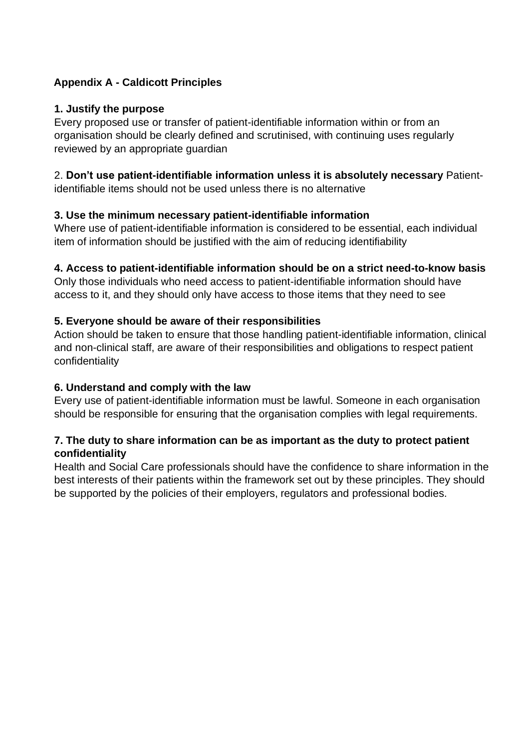# <span id="page-9-0"></span>**Appendix A - Caldicott Principles**

#### **1. Justify the purpose**

Every proposed use or transfer of patient-identifiable information within or from an organisation should be clearly defined and scrutinised, with continuing uses regularly reviewed by an appropriate guardian

#### 2. **Don't use patient-identifiable information unless it is absolutely necessary** Patient-

identifiable items should not be used unless there is no alternative

#### **3. Use the minimum necessary patient-identifiable information**

Where use of patient-identifiable information is considered to be essential, each individual item of information should be justified with the aim of reducing identifiability

#### **4. Access to patient-identifiable information should be on a strict need-to-know basis**

Only those individuals who need access to patient-identifiable information should have access to it, and they should only have access to those items that they need to see

#### **5. Everyone should be aware of their responsibilities**

Action should be taken to ensure that those handling patient-identifiable information, clinical and non-clinical staff, are aware of their responsibilities and obligations to respect patient confidentiality

#### **6. Understand and comply with the law**

Every use of patient-identifiable information must be lawful. Someone in each organisation should be responsible for ensuring that the organisation complies with legal requirements.

## **7. The duty to share information can be as important as the duty to protect patient confidentiality**

Health and Social Care professionals should have the confidence to share information in the best interests of their patients within the framework set out by these principles. They should be supported by the policies of their employers, regulators and professional bodies.